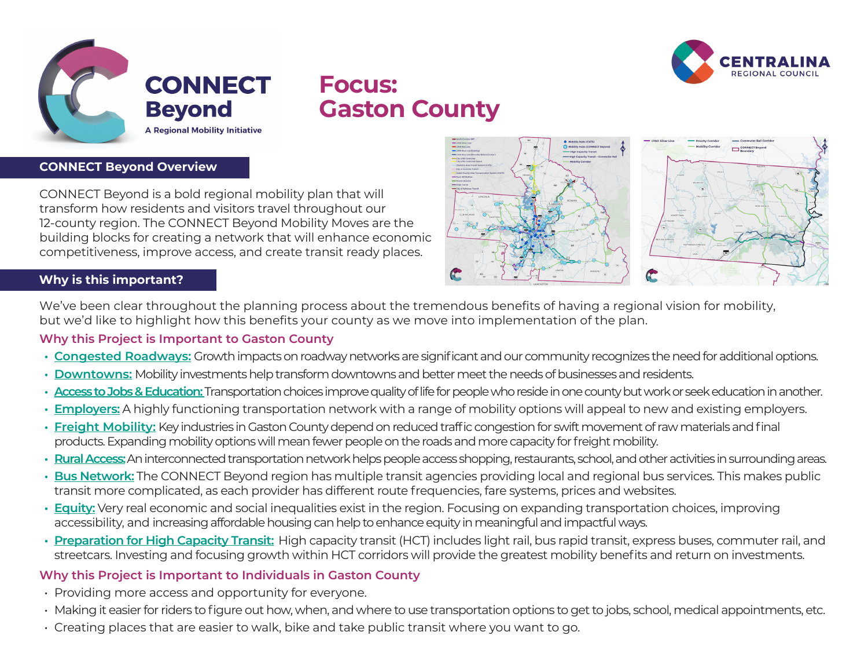



# **Focus: Gaston County**

### **CONNECT Beyond Overview**

CONNECT Beyond is a bold regional mobility plan that will transform how residents and visitors travel throughout our 12-county region. The CONNECT Beyond Mobility Moves are the building blocks for creating a network that will enhance economic competitiveness, improve access, and create transit ready places.



# **Why is this important?**

We've been clear throughout the planning process about the tremendous benefits of having a regional vision for mobility, but we'd like to highlight how this benefits your county as we move into implementation of the plan.

### **Why this Project is Important to Gaston County**

- **• Congested Roadways:** Growth impacts on roadway networks are significant and our community recognizes the need for additional options.
- **• Downtowns:** Mobility investments help transform downtowns and better meet the needs of businesses and residents.
- **• Access to Jobs & Education:** Transportation choices improve quality of life for people who reside in one county but work or seek education in another.
- **• Employers:** A highly functioning transportation network with a range of mobility options will appeal to new and existing employers.
- **• Freight Mobility:** Key industries in Gaston County depend on reduced traffic congestion for swift movement of raw materials and final products. Expanding mobility options will mean fewer people on the roads and more capacity for freight mobility.
- **• Rural Access:**An interconnected transportation network helps people access shopping, restaurants, school, and other activities in surrounding areas.
- **• Bus Network:** The CONNECT Beyond region has multiple transit agencies providing local and regional bus services. This makes public transit more complicated, as each provider has different route frequencies, fare systems, prices and websites.
- **• Equity:** Very real economic and social inequalities exist in the region. Focusing on expanding transportation choices, improving accessibility, and increasing affordable housing can help to enhance equity in meaningful and impactful ways.
- **• Preparation for High Capacity Transit:** High capacity transit (HCT) includes light rail, bus rapid transit, express buses, commuter rail, and streetcars. Investing and focusing growth within HCT corridors will provide the greatest mobility benefits and return on investments.

## **Why this Project is Important to Individuals in Gaston County**

- Providing more access and opportunity for everyone.
- Making it easier for riders to figure out how, when, and where to use transportation options to get to jobs, school, medical appointments, etc.
- Creating places that are easier to walk, bike and take public transit where you want to go.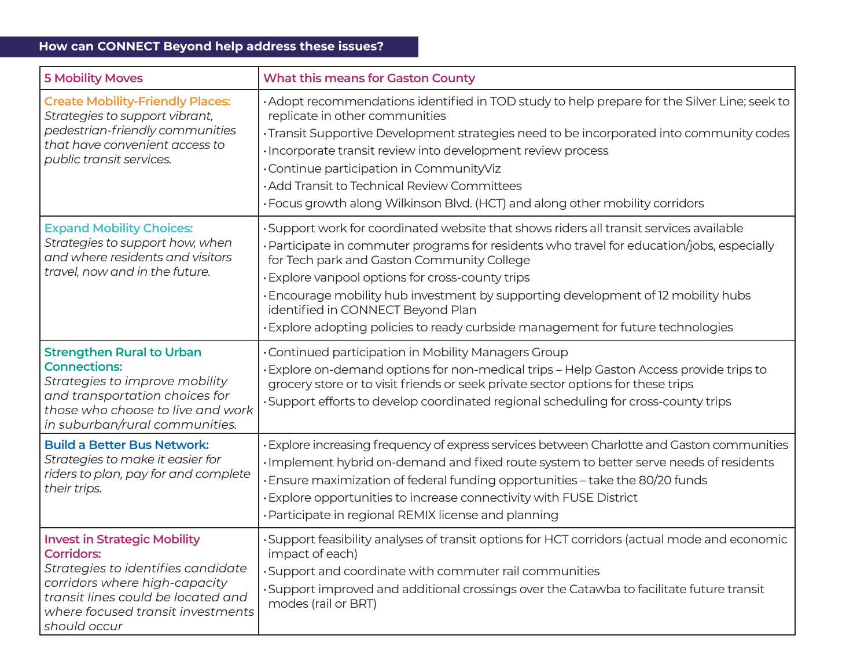# **How can CONNECT Beyond help address these issues?**

| <b>5 Mobility Moves</b>                                                                                                                                                                                                    | <b>What this means for Gaston County</b>                                                                                                                                                                                                                                                                                                                                                                                                                                                             |
|----------------------------------------------------------------------------------------------------------------------------------------------------------------------------------------------------------------------------|------------------------------------------------------------------------------------------------------------------------------------------------------------------------------------------------------------------------------------------------------------------------------------------------------------------------------------------------------------------------------------------------------------------------------------------------------------------------------------------------------|
| <b>Create Mobility-Friendly Places:</b><br>Strategies to support vibrant,<br>pedestrian-friendly communities<br>that have convenient access to<br>public transit services.                                                 | • Adopt recommendations identified in TOD study to help prepare for the Silver Line; seek to<br>replicate in other communities<br>· Transit Supportive Development strategies need to be incorporated into community codes<br>· Incorporate transit review into development review process<br>. Continue participation in CommunityViz<br>· Add Transit to Technical Review Committees<br>· Focus growth along Wilkinson Blvd. (HCT) and along other mobility corridors                              |
| <b>Expand Mobility Choices:</b><br>Strategies to support how, when<br>and where residents and visitors<br>travel, now and in the future.                                                                                   | ·Support work for coordinated website that shows riders all transit services available<br>· Participate in commuter programs for residents who travel for education/jobs, especially<br>for Tech park and Gaston Community College<br>· Explore vanpool options for cross-county trips<br>. Encourage mobility hub investment by supporting development of 12 mobility hubs<br>identified in CONNECT Beyond Plan<br>· Explore adopting policies to ready curbside management for future technologies |
| <b>Strengthen Rural to Urban</b><br><b>Connections:</b><br>Strategies to improve mobility<br>and transportation choices for<br>those who choose to live and work<br>in suburban/rural communities.                         | • Continued participation in Mobility Managers Group<br>· Explore on-demand options for non-medical trips - Help Gaston Access provide trips to<br>grocery store or to visit friends or seek private sector options for these trips<br>·Support efforts to develop coordinated regional scheduling for cross-county trips                                                                                                                                                                            |
| <b>Build a Better Bus Network:</b><br>Strategies to make it easier for<br>riders to plan, pay for and complete<br>their trips.                                                                                             | · Explore increasing frequency of express services between Charlotte and Gaston communities<br>· Implement hybrid on-demand and fixed route system to better serve needs of residents<br>· Ensure maximization of federal funding opportunities - take the 80/20 funds<br>· Explore opportunities to increase connectivity with FUSE District<br>· Participate in regional REMIX license and planning                                                                                                |
| <b>Invest in Strategic Mobility</b><br><b>Corridors:</b><br>Strategies to identifies candidate<br>corridors where high-capacity<br>transit lines could be located and<br>where focused transit investments<br>should occur | ·Support feasibility analyses of transit options for HCT corridors (actual mode and economic<br>impact of each)<br>· Support and coordinate with commuter rail communities<br>• Support improved and additional crossings over the Catawba to facilitate future transit<br>modes (rail or BRT)                                                                                                                                                                                                       |